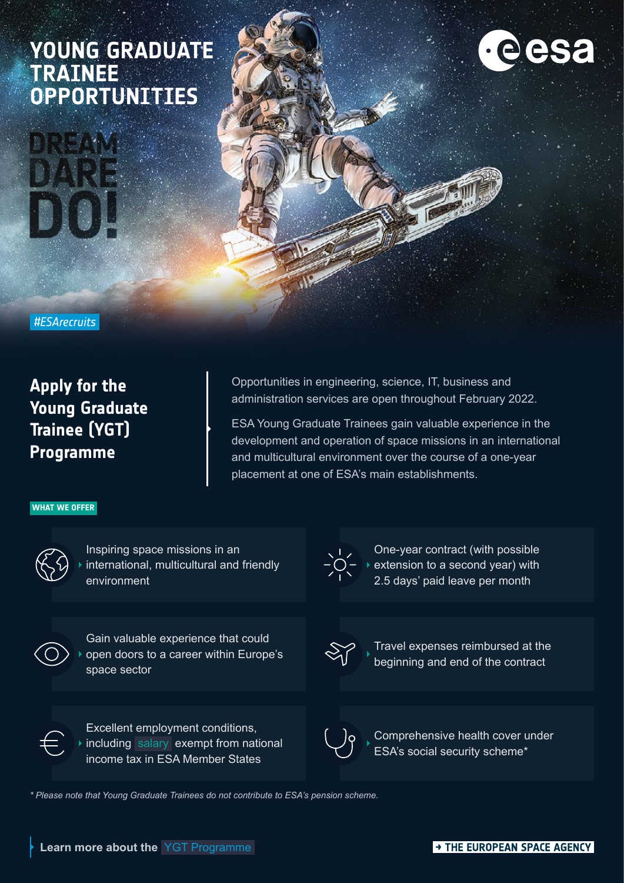# **YOUNG GRADUATE TRAINEE OPPORTUNITIES**



 *#ESArecruits* 

**Apply for the Young Graduate Trainee (YGT) Programme**

Opportunities in engineering, science, IT, business and administration services are open throughout February 2022.

ESA Young Graduate Trainees gain valuable experience in the development and operation of space missions in an international and multicultural environment over the course of a one-year placement at one of ESA's main establishments.

### **WHAT WE OFFER**



Inspiring space missions in an international, multicultural and friendly environment



Gain valuable experience that could open doors to a career within Europe's space sector



One-year contract (with possible  $-\overline{O}$   $\rightarrow$  extension to a second year) with 2.5 days' paid leave per month



Travel expenses reimbursed at the beginning and end of the contract



Excellent employment conditions, including [salary](https://esamultimedia.esa.int/docs/careers/Table_YGT_Salaries.pdf) exempt from national income tax in ESA Member States

Comprehensive health cover under ESA's social security scheme\*

*\* Please note that Young Graduate Trainees do not contribute to ESA's pension scheme.*

THE EUROPEAN SPACE AGENCY